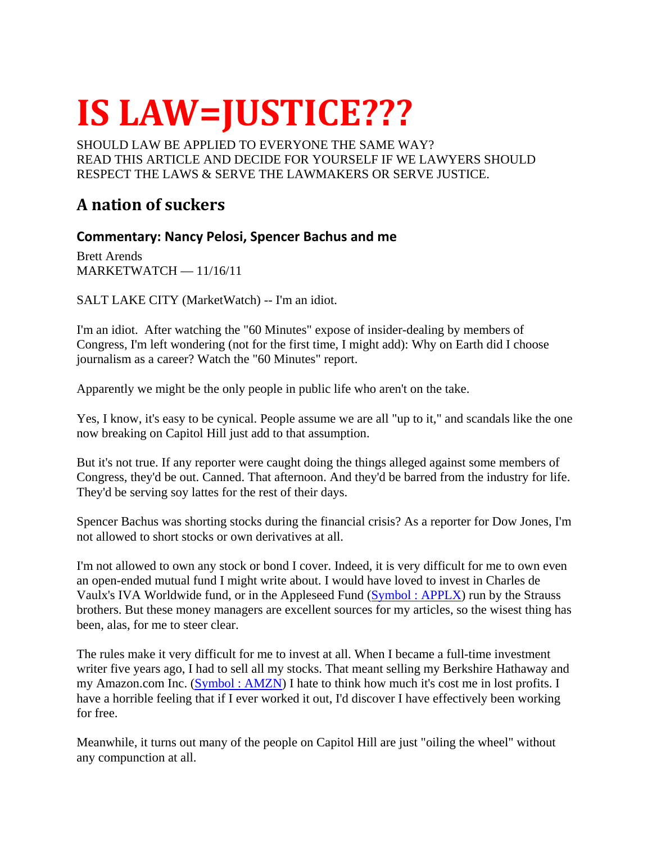## **IS LAW=JUSTICE???**

SHOULD LAW BE APPLIED TO EVERYONE THE SAME WAY? READ THIS ARTICLE AND DECIDE FOR YOURSELF IF WE LAWYERS SHOULD RESPECT THE LAWS & SERVE THE LAWMAKERS OR SERVE JUSTICE.

## **A nation of suckers**

## **Commentary: Nancy Pelosi, Spencer Bachus and me**

Brett Arends MARKETWATCH — 11/16/11

SALT LAKE CITY (MarketWatch) -- I'm an idiot.

I'm an idiot. After watching the "60 Minutes" expose of insider-dealing by members of Congress, I'm left wondering (not for the first time, I might add): Why on Earth did I choose journalism as a career? Watch the "60 Minutes" report.

Apparently we might be the only people in public life who aren't on the take.

Yes, I know, it's easy to be cynical. People assume we are all "up to it," and scandals like the one now breaking on Capitol Hill just add to that assumption.

But it's not true. If any reporter were caught doing the things alleged against some members of Congress, they'd be out. Canned. That afternoon. And they'd be barred from the industry for life. They'd be serving soy lattes for the rest of their days.

Spencer Bachus was shorting stocks during the financial crisis? As a reporter for Dow Jones, I'm not allowed to short stocks or own derivatives at all.

I'm not allowed to own any stock or bond I cover. Indeed, it is very difficult for me to own even an open-ended mutual fund I might write about. I would have loved to invest in Charles de Vaulx's IVA Worldwide fund, or in the Appleseed Fund ([Symbol : APPLX](http://eresearch.fidelity.com/eresearch/goto/evaluate/snapshot.jhtml?symbols=APPLX)) run by the Strauss brothers. But these money managers are excellent sources for my articles, so the wisest thing has been, alas, for me to steer clear.

The rules make it very difficult for me to invest at all. When I became a full-time investment writer five years ago, I had to sell all my stocks. That meant selling my Berkshire Hathaway and my Amazon.com Inc. (Symbol: AMZN) I hate to think how much it's cost me in lost profits. I have a horrible feeling that if I ever worked it out, I'd discover I have effectively been working for free.

Meanwhile, it turns out many of the people on Capitol Hill are just "oiling the wheel" without any compunction at all.